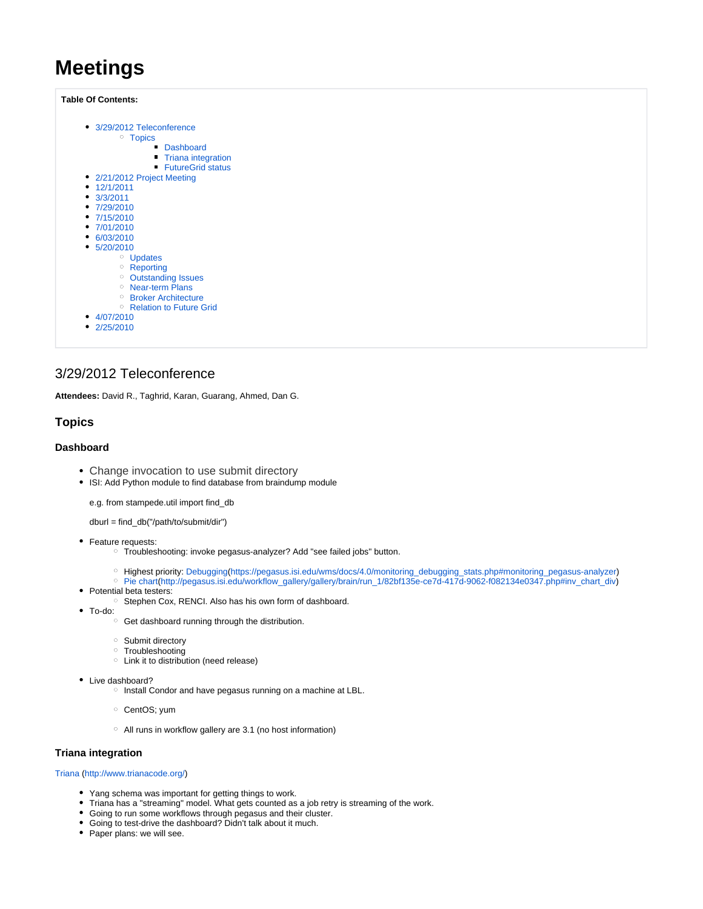# **Meetings**

**Table Of Contents:**

| 3/29/2012 Teleconference<br><sup>o</sup> Topics |
|-------------------------------------------------|
| • Dashboard                                     |
| <b>Triana integration</b>                       |
|                                                 |
| <b>FutureGrid status</b>                        |
| • 2/21/2012 Project Meeting                     |
| $\bullet$ 12/1/2011                             |
| $\bullet$ 3/3/2011                              |
| • $7/29/2010$                                   |
| •7/15/2010                                      |
| $\bullet$ 7/01/2010                             |
| 6/03/2010                                       |
| $\cdot$ 5/20/2010                               |
| O                                               |
| <b>Updates</b>                                  |
| <sup>o</sup> Reporting                          |
| <sup>o</sup> Outstanding Issues                 |
| <sup>o</sup> Near-term Plans                    |
| <sup>o</sup> Broker Architecture                |
| <sup>o</sup> Relation to Future Grid            |
| 4/07/2010                                       |
| 2/25/2010                                       |
|                                                 |
|                                                 |
|                                                 |

# <span id="page-0-0"></span>3/29/2012 Teleconference

**Attendees:** David R., Taghrid, Karan, Guarang, Ahmed, Dan G.

### <span id="page-0-1"></span>**Topics**

### <span id="page-0-2"></span>**Dashboard**

- Change invocation to use submit directory
- ISI: Add Python module to find database from braindump module

e.g. from stampede.util import find\_db

dburl = find\_db("/path/to/submit/dir")

- Feature requests:
	- Troubleshooting: invoke pegasus-analyzer? Add "see failed jobs" button.
	- o Highest priority: Debugging([https://pegasus.isi.edu/wms/docs/4.0/monitoring\\_debugging\\_stats.php#monitoring\\_pegasus-analyzer](https://pegasus.isi.edu/wms/docs/4.0/monitoring_debugging_stats.php#monitoring_pegasus-analyzer))
	- Pie chart[\(http://pegasus.isi.edu/workflow\\_gallery/gallery/brain/run\\_1/82bf135e-ce7d-417d-9062-f082134e0347.php#inv\\_chart\\_div\)](http://pegasus.isi.edu/workflow_gallery/gallery/brain/run_1/82bf135e-ce7d-417d-9062-f082134e0347.php#inv_chart_div)
- Potential beta testers:
	- <sup>o</sup> Stephen Cox, RENCI. Also has his own form of dashboard.
- To-do:
	- $\circ$  Get dashboard running through the distribution.
	- <sup>o</sup> Submit directory
	- <sup>o</sup> Troubleshooting
	- Link it to distribution (need release)
- Live dashboard?
	- <sup>o</sup> Install Condor and have pegasus running on a machine at LBL.
	- CentOS; yum
	- All runs in workflow gallery are 3.1 (no host information)

### <span id="page-0-3"></span>**Triana integration**

Triana (<http://www.trianacode.org/>)

- Yang schema was important for getting things to work.
- Triana has a "streaming" model. What gets counted as a job retry is streaming of the work.
- Going to run some workflows through pegasus and their cluster.
- Going to test-drive the dashboard? Didn't talk about it much.
- <span id="page-0-4"></span>• Paper plans: we will see.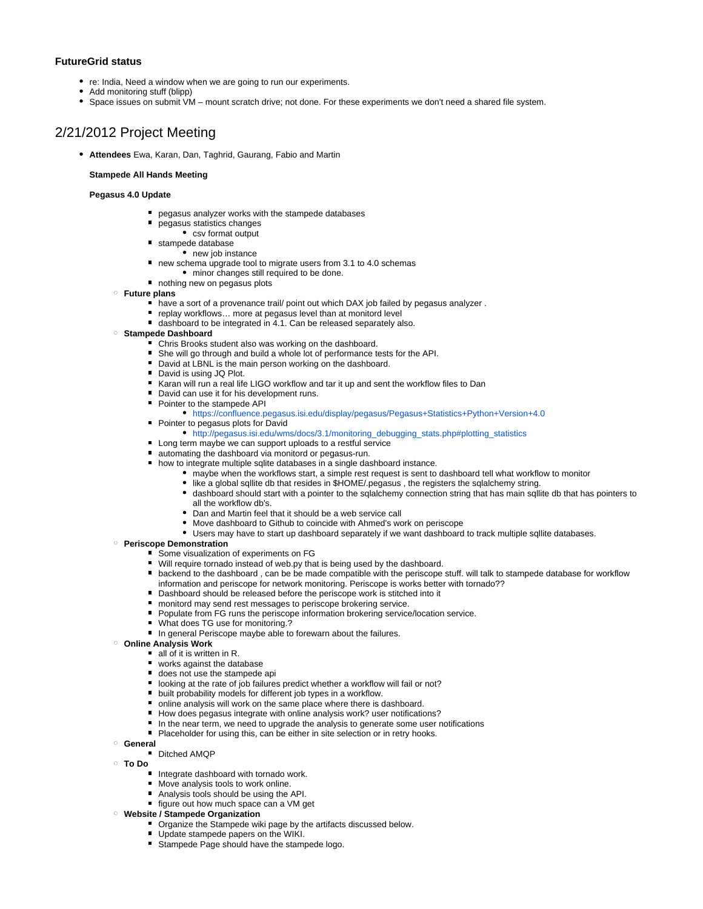### **FutureGrid status**

- re: India, Need a window when we are going to run our experiments.
- Add monitoring stuff (blipp)
- Space issues on submit VM mount scratch drive; not done. For these experiments we don't need a shared file system.

# <span id="page-1-0"></span>2/21/2012 Project Meeting

**Attendees** Ewa, Karan, Dan, Taghrid, Gaurang, Fabio and Martin

#### **Stampede All Hands Meeting**

#### **Pegasus 4.0 Update**

- pegasus analyzer works with the stampede databases
- pegasus statistics changes
- csv format output
- stampede database
	- new job instance
- new schema upgrade tool to migrate users from 3.1 to 4.0 schemas
	- minor changes still required to be done.
- nothing new on pegasus plots
- **Future plans**
	- have a sort of a provenance trail/ point out which DAX job failed by pegasus analyzer .
	- replay workflows... more at pegasus level than at monitord level
	- dashboard to be integrated in 4.1. Can be released separately also.

### **Stampede Dashboard**

- Chris Brooks student also was working on the dashboard.
- She will go through and build a whole lot of performance tests for the API.
- David at LBNL is the main person working on the dashboard.
- David is using JQ Plot.
- Karan will run a real life LIGO workflow and tar it up and sent the workflow files to Dan
- David can use it for his development runs.
- Pointer to the stampede API
	- <https://confluence.pegasus.isi.edu/display/pegasus/Pegasus+Statistics+Python+Version+4.0>
- **Pointer to pegasus plots for David**
- [http://pegasus.isi.edu/wms/docs/3.1/monitoring\\_debugging\\_stats.php#plotting\\_statistics](http://pegasus.isi.edu/wms/docs/3.1/monitoring_debugging_stats.php#plotting_statistics)
- Long term maybe we can support uploads to a restful service
- automating the dashboard via monitord or pegasus-run.
- how to integrate multiple sqlite databases in a single dashboard instance.
	- maybe when the workflows start, a simple rest request is sent to dashboard tell what workflow to monitor
	- like a global sqllite db that resides in \$HOME/.pegasus , the registers the sqlalchemy string.
	- dashboard should start with a pointer to the sqlalchemy connection string that has main sqllite db that has pointers to all the workflow db's.
	- Dan and Martin feel that it should be a web service call
	- Move dashboard to Github to coincide with Ahmed's work on periscope
	- Users may have to start up dashboard separately if we want dashboard to track multiple sqllite databases.

#### **Periscope Demonstration**

- Some visualization of experiments on FG
- Will require tornado instead of web.py that is being used by the dashboard.
- **•** backend to the dashboard, can be be made compatible with the periscope stuff. will talk to stampede database for workflow information and periscope for network monitoring. Periscope is works better with tornado??
- Dashboard should be released before the periscope work is stitched into it
- **nambigary monitord may send rest messages to periscope brokering service.**
- Populate from FG runs the periscope information brokering service/location service.
- What does TG use for monitoring.?
- In general Periscope maybe able to forewarn about the failures.

### **Online Analysis Work**

- all of it is written in R.
- works against the database
- does not use the stampede api
- looking at the rate of job failures predict whether a workflow will fail or not?
- built probability models for different job types in a workflow.
- online analysis will work on the same place where there is dashboard.
- How does pegasus integrate with online analysis work? user notifications?
- In the near term, we need to upgrade the analysis to generate some user notifications
- Placeholder for using this, can be either in site selection or in retry hooks.
- **General**

#### Ditched AMOP

- **To Do**
	- Integrate dashboard with tornado work.
	- Move analysis tools to work online.
	- Analysis tools should be using the API.
	- figure out how much space can a VM get

### **Website / Stampede Organization**

- **Organize the Stampede wiki page by the artifacts discussed below.**
- Update stampede papers on the WIKI.
- Stampede Page should have the stampede logo.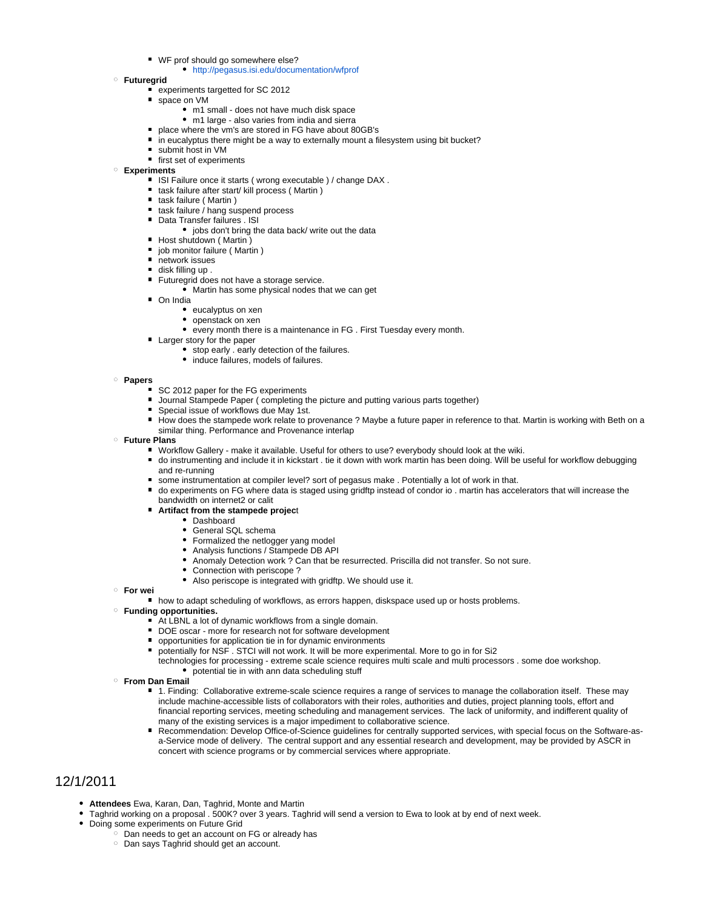- WF prof should go somewhere else?
	- <http://pegasus.isi.edu/documentation/wfprof>
- **Futuregrid**
	- experiments targetted for SC 2012
	- space on VM m1 small - does not have much disk space
		-
		- m1 large also varies from india and sierra place where the vm's are stored in FG have about 80GB's
	- in eucalyptus there might be a way to externally mount a filesystem using bit bucket?
	- submit host in VM
	- first set of experiments
- **Experiments**
	- ISI Failure once it starts (wrong executable ) / change DAX .
	- task failure after start/ kill process ( Martin )
	- task failure (Martin)
	- $\blacksquare$  task failure / hang suspend process
	- **Data Transfer failures . ISI** 
		- jobs don't bring the data back/ write out the data
	- Host shutdown (Martin)
	- **job monitor failure (Martin)**
	- network issues
	- disk filling up.
	- Futuregrid does not have a storage service.
		- Martin has some physical nodes that we can get
	- On India
		- eucalyptus on xen
		- openstack on xen
		- every month there is a maintenance in FG . First Tuesday every month.
	- **Larger story for the paper** 
		- stop early . early detection of the failures.
		- induce failures, models of failures.
- **Papers**
	- SC 2012 paper for the FG experiments
	- Journal Stampede Paper ( completing the picture and putting various parts together)
	- Special issue of workflows due May 1st.
	- How does the stampede work relate to provenance ? Maybe a future paper in reference to that. Martin is working with Beth on a similar thing. Performance and Provenance interlap
- **Future Plans**
	- Workflow Gallery make it available. Useful for others to use? everybody should look at the wiki.
	- do instrumenting and include it in kickstart . tie it down with work martin has been doing. Will be useful for workflow debugging and re-running
	- some instrumentation at compiler level? sort of pegasus make . Potentially a lot of work in that.
	- do experiments on FG where data is staged using gridftp instead of condor io . martin has accelerators that will increase the bandwidth on internet2 or calit
	- **Artifact from the stampede projec**t
		- Dashboard
			- General SQL schema
			- Formalized the netlogger yang model
			- Analysis functions / Stampede DB API
			- Anomaly Detection work ? Can that be resurrected. Priscilla did not transfer. So not sure.
			- Connection with periscope?
			- Also periscope is integrated with gridftp. We should use it.
- **For wei**
	- how to adapt scheduling of workflows, as errors happen, diskspace used up or hosts problems.
- **Funding opportunities.**
	- At LBNL a lot of dynamic workflows from a single domain.
	- DOE oscar more for research not for software development
	- opportunities for application tie in for dynamic environments
	- potentially for NSF . STCI will not work. It will be more experimental. More to go in for Si2
	- technologies for processing extreme scale science requires multi scale and multi processors . some doe workshop. potential tie in with ann data scheduling stuff
- **From Dan Email**
	- 1. Finding: Collaborative extreme-scale science requires a range of services to manage the collaboration itself. These may include machine-accessible lists of collaborators with their roles, authorities and duties, project planning tools, effort and financial reporting services, meeting scheduling and management services. The lack of uniformity, and indifferent quality of many of the existing services is a major impediment to collaborative science.
	- Recommendation: Develop Office-of-Science guidelines for centrally supported services, with special focus on the Software-asa-Service mode of delivery. The central support and any essential research and development, may be provided by ASCR in concert with science programs or by commercial services where appropriate.

# <span id="page-2-0"></span>12/1/2011

- **Attendees** Ewa, Karan, Dan, Taghrid, Monte and Martin
- Taghrid working on a proposal . 500K? over 3 years. Taghrid will send a version to Ewa to look at by end of next week.
- Doing some experiments on Future Grid
	- Dan needs to get an account on FG or already has
	- Dan says Taghrid should get an account.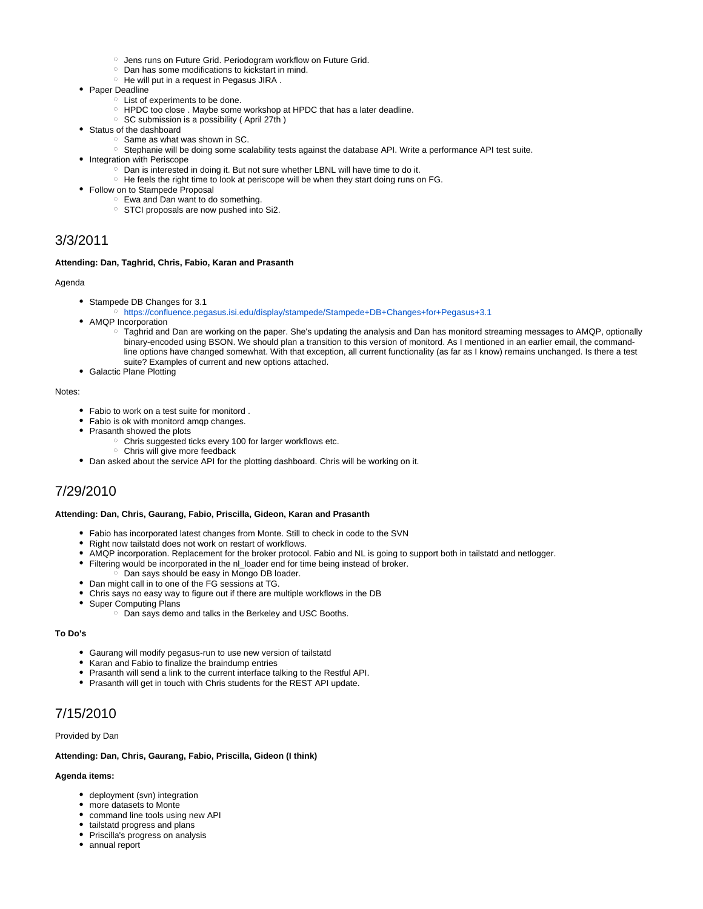- <sup>o</sup> Jens runs on Future Grid. Periodogram workflow on Future Grid.
- <sup>o</sup> Dan has some modifications to kickstart in mind.
- o He will put in a request in Pegasus JIRA.
- Paper Deadline
	- List of experiments to be done.
	- HPDC too close . Maybe some workshop at HPDC that has a later deadline.
	- $\circ$  SC submission is a possibility (April 27th)
- Status of the dashboard
	- $\circ$  Same as what was shown in SC.
	- Stephanie will be doing some scalability tests against the database API. Write a performance API test suite.
	- Integration with Periscope
		- $\circ$  Dan is interested in doing it. But not sure whether LBNL will have time to do it.
		- $\degree$  He feels the right time to look at periscope will be when they start doing runs on FG.
- Follow on to Stampede Proposal
	- Ewa and Dan want to do something.
	- $\circ$  STCI proposals are now pushed into Si2.

# <span id="page-3-0"></span>3/3/2011

#### **Attending: Dan, Taghrid, Chris, Fabio, Karan and Prasanth**

#### Agenda

- Stampede DB Changes for 3.1
- <https://confluence.pegasus.isi.edu/display/stampede/Stampede+DB+Changes+for+Pegasus+3.1>
- AMQP Incorporation
	- Taghrid and Dan are working on the paper. She's updating the analysis and Dan has monitord streaming messages to AMQP, optionally binary-encoded using BSON. We should plan a transition to this version of monitord. As I mentioned in an earlier email, the commandline options have changed somewhat. With that exception, all current functionality (as far as I know) remains unchanged. Is there a test suite? Examples of current and new options attached.
- Galactic Plane Plotting

#### Notes:

- Fabio to work on a test suite for monitord .
- Fabio is ok with monitord amqp changes.
- Prasanth showed the plots
	- o Chris suggested ticks every 100 for larger workflows etc.
- Chris will give more feedback
- Dan asked about the service API for the plotting dashboard. Chris will be working on it.

# <span id="page-3-1"></span>7/29/2010

#### **Attending: Dan, Chris, Gaurang, Fabio, Priscilla, Gideon, Karan and Prasanth**

- Fabio has incorporated latest changes from Monte. Still to check in code to the SVN
- Right now tailstatd does not work on restart of workflows.
- AMQP incorporation. Replacement for the broker protocol. Fabio and NL is going to support both in tailstatd and netlogger.
- Filtering would be incorporated in the nl\_loader end for time being instead of broker.
	- $\circ$  Dan says should be easy in Mongo DB loader.
- Dan might call in to one of the FG sessions at TG.
- Chris says no easy way to figure out if there are multiple workflows in the DB
- Super Computing Plans
	- Dan says demo and talks in the Berkeley and USC Booths.

#### **To Do's**

- Gaurang will modify pegasus-run to use new version of tailstatd
- Karan and Fabio to finalize the braindump entries
- Prasanth will send a link to the current interface talking to the Restful API.
- Prasanth will get in touch with Chris students for the REST API update.

# <span id="page-3-2"></span>7/15/2010

#### Provided by Dan

#### **Attending: Dan, Chris, Gaurang, Fabio, Priscilla, Gideon (I think)**

#### **Agenda items:**

- deployment (svn) integration
- more datasets to Monte
- command line tools using new API
- tailstatd progress and plans
- Priscilla's progress on analysis
- annual report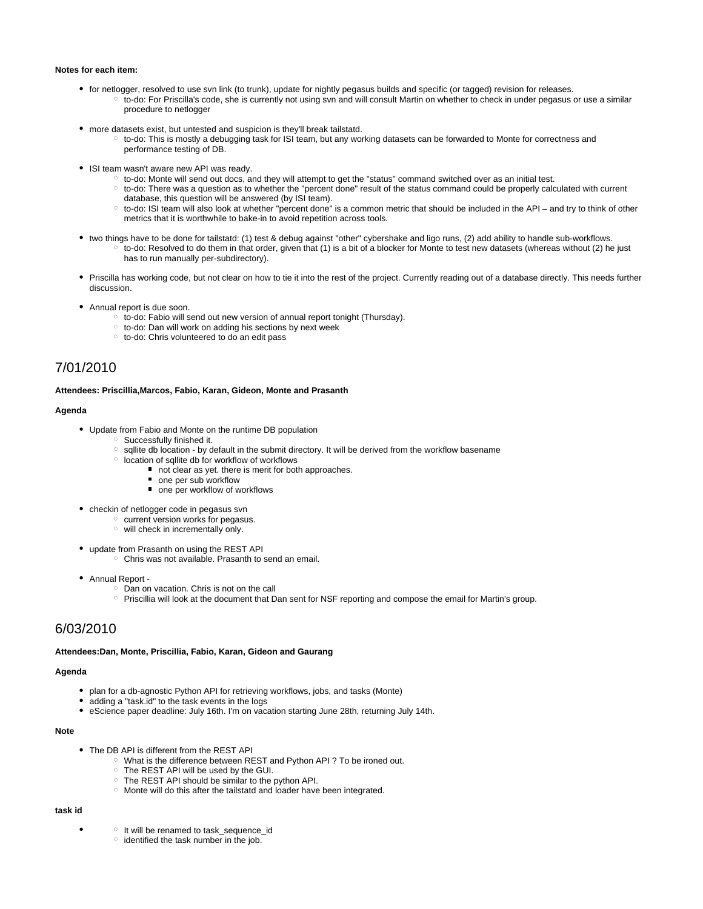#### **Notes for each item:**

- for netlogger, resolved to use svn link (to trunk), update for nightly pegasus builds and specific (or tagged) revision for releases.  $\circ$  to-do: For Priscilla's code, she is currently not using svn and will consult Martin on whether to check in under pegasus or use a similar procedure to netlogger
- more datasets exist, but untested and suspicion is they'll break tailstatd.
	- to-do: This is mostly a debugging task for ISI team, but any working datasets can be forwarded to Monte for correctness and performance testing of DB.
- ISI team wasn't aware new API was ready.
	- to-do: Monte will send out docs, and they will attempt to get the "status" command switched over as an initial test.
	- $\circ$  to-do: There was a question as to whether the "percent done" result of the status command could be properly calculated with current database, this question will be answered (by ISI team).
	- to-do: ISI team will also look at whether "percent done" is a common metric that should be included in the API and try to think of other metrics that it is worthwhile to bake-in to avoid repetition across tools.
- two things have to be done for tailstatd: (1) test & debug against "other" cybershake and ligo runs, (2) add ability to handle sub-workflows.
	- $\circ$  to-do: Resolved to do them in that order, given that (1) is a bit of a blocker for Monte to test new datasets (whereas without (2) he just has to run manually per-subdirectory).
- Priscilla has working code, but not clear on how to tie it into the rest of the project. Currently reading out of a database directly. This needs further discussion.
- Annual report is due soon.
	- to-do: Fabio will send out new version of annual report tonight (Thursday).
	- to-do: Dan will work on adding his sections by next week
	- o to-do: Chris volunteered to do an edit pass

# <span id="page-4-0"></span>7/01/2010

#### **Attendees: Priscillia,Marcos, Fabio, Karan, Gideon, Monte and Prasanth**

#### **Agenda**

- Update from Fabio and Monte on the runtime DB population
	- Successfully finished it.
	- $\circ$  sqllite db location by default in the submit directory. It will be derived from the workflow basename
	- $\circ$  location of sqllite db for workflow of workflows
		- not clear as yet. there is merit for both approaches.
			- one per sub workflow
			- one per workflow of workflows
- checkin of netlogger code in pegasus svn
	- o current version works for pegasus.
	- $\circ$  will check in incrementally only.
- update from Prasanth on using the REST API
	- Chris was not available. Prasanth to send an email.
- Annual Report
	- Dan on vacation. Chris is not on the call
	- o Priscillia will look at the document that Dan sent for NSF reporting and compose the email for Martin's group.

# <span id="page-4-1"></span>6/03/2010

#### **Attendees:Dan, Monte, Priscillia, Fabio, Karan, Gideon and Gaurang**

#### **Agenda**

- plan for a db-agnostic Python API for retrieving workflows, jobs, and tasks (Monte)
- adding a "task.id" to the task events in the logs
- eScience paper deadline: July 16th. I'm on vacation starting June 28th, returning July 14th.

#### **Note**

- The DB API is different from the REST API
	- What is the difference between REST and Python API ? To be ironed out.
	- The REST API will be used by the GUI.
	- The REST API should be similar to the python API.
	- o Monte will do this after the tailstatd and loader have been integrated.

#### **task id**

- <sup>o</sup> It will be renamed to task\_sequence\_id
	- $\circ$  identified the task number in the job.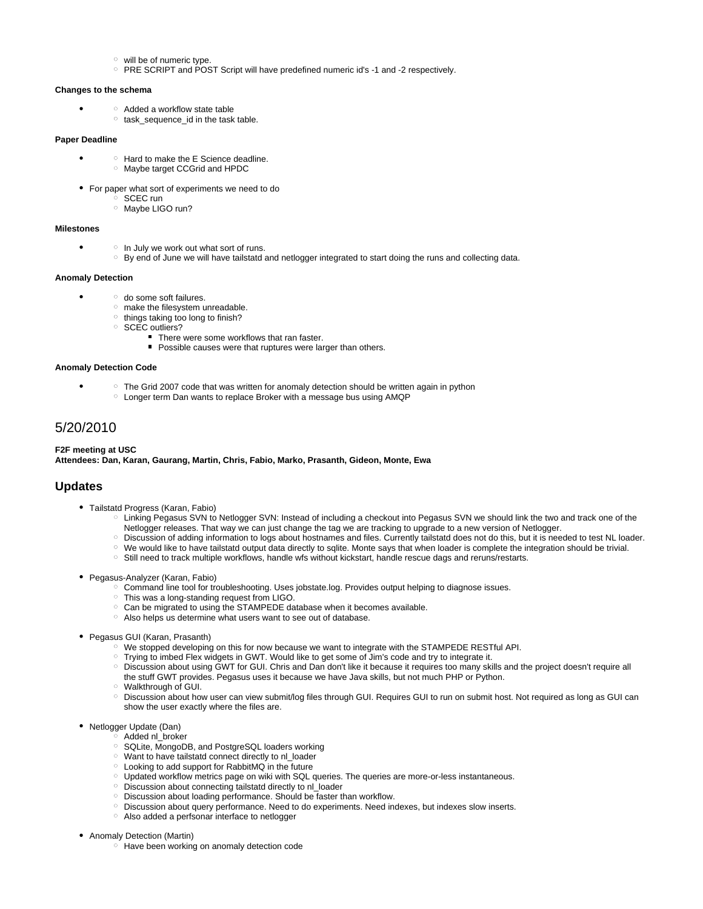- $\circ$  will be of numeric type.
- $\circ$  PRE SCRIPT and POST Script will have predefined numeric id's -1 and -2 respectively.

#### **Changes to the schema**

- Added a workflow state table
	- $\circ$  task sequence id in the task table.

#### **Paper Deadline**

- Hard to make the E Science deadline. Maybe target CCGrid and HPDC
- For paper what sort of experiments we need to do
	- o SCEC run
	- <sup>o</sup> Maybe LIGO run?

### **Milestones**

- $\circ$  In July we work out what sort of runs.
	- <sup>o</sup> By end of June we will have tailstatd and netlogger integrated to start doing the runs and collecting data.

### **Anomaly Detection**

- o do some soft failures.
	- $\circ$  make the filesystem unreadable.
	- $\circ$  things taking too long to finish?
	- **SCEC** outliers?
		- There were some workflows that ran faster.
		- Possible causes were that ruptures were larger than others.

#### **Anomaly Detection Code**

- $\circ$  The Grid 2007 code that was written for anomaly detection should be written again in python
	- Longer term Dan wants to replace Broker with a message bus using AMQP

# <span id="page-5-0"></span>5/20/2010

#### **F2F meeting at USC Attendees: Dan, Karan, Gaurang, Martin, Chris, Fabio, Marko, Prasanth, Gideon, Monte, Ewa**

### <span id="page-5-1"></span>**Updates**

- Tailstatd Progress (Karan, Fabio)
	- Linking Pegasus SVN to Netlogger SVN: Instead of including a checkout into Pegasus SVN we should link the two and track one of the Netlogger releases. That way we can just change the tag we are tracking to upgrade to a new version of Netlogger.
	- Discussion of adding information to logs about hostnames and files. Currently tailstatd does not do this, but it is needed to test NL loader.
	- o We would like to have tailstatd output data directly to sqlite. Monte says that when loader is complete the integration should be trivial.
	- Still need to track multiple workflows, handle wfs without kickstart, handle rescue dags and reruns/restarts.
- Pegasus-Analyzer (Karan, Fabio)
	- Command line tool for troubleshooting. Uses jobstate.log. Provides output helping to diagnose issues.
	- This was a long-standing request from LIGO.
	- Can be migrated to using the STAMPEDE database when it becomes available.
	- Also helps us determine what users want to see out of database.
- Pegasus GUI (Karan, Prasanth)
	- <sup>o</sup> We stopped developing on this for now because we want to integrate with the STAMPEDE RESTful API.
	- Trying to imbed Flex widgets in GWT. Would like to get some of Jim's code and try to integrate it.
	- Discussion about using GWT for GUI. Chris and Dan don't like it because it requires too many skills and the project doesn't require all the stuff GWT provides. Pegasus uses it because we have Java skills, but not much PHP or Python.
	- Walkthrough of GUI.
	- Discussion about how user can view submit/log files through GUI. Requires GUI to run on submit host. Not required as long as GUI can show the user exactly where the files are.
- Netlogger Update (Dan)
	- $\sim$  Added nl broker
		- o SQLite, MongoDB, and PostgreSQL loaders working
		- Want to have tailstatd connect directly to nl\_loader
		- Looking to add support for RabbitMQ in the future
		- $\circ$  Updated workflow metrics page on wiki with SQL queries. The queries are more-or-less instantaneous.
		- Discussion about connecting tailstatd directly to nl\_loader
		- o Discussion about loading performance. Should be faster than workflow.
		- Discussion about query performance. Need to do experiments. Need indexes, but indexes slow inserts.
		- Also added a perfsonar interface to netlogger
- Anomaly Detection (Martin)
	- <sup>o</sup> Have been working on anomaly detection code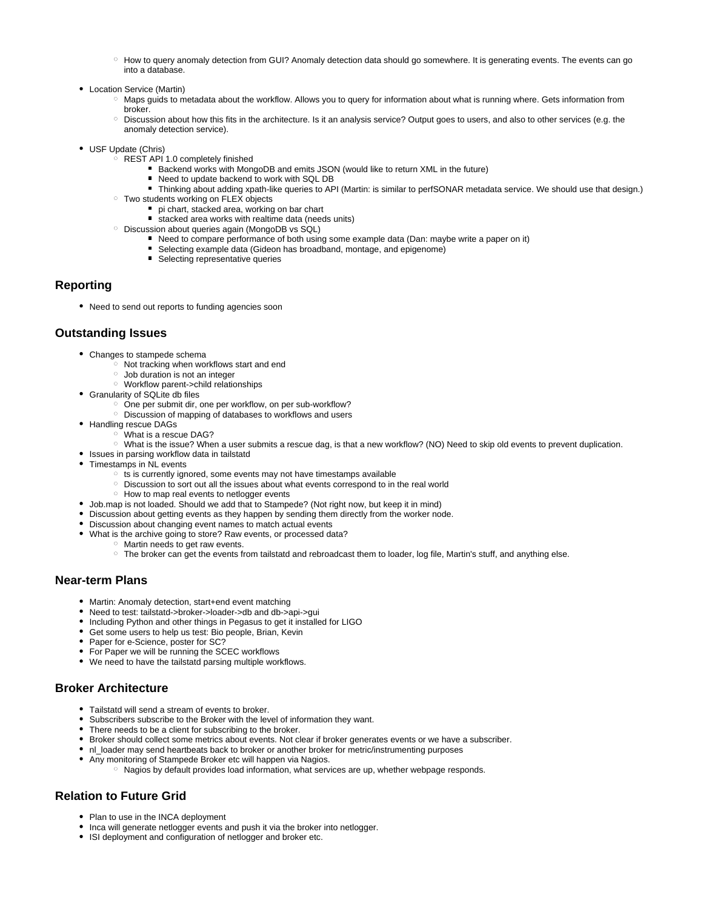- $\degree$  How to query anomaly detection from GUI? Anomaly detection data should go somewhere. It is generating events. The events can go into a database.
- Location Service (Martin)
	- Maps guids to metadata about the workflow. Allows you to query for information about what is running where. Gets information from broker.
	- $\circ$  Discussion about how this fits in the architecture. Is it an analysis service? Output goes to users, and also to other services (e.g. the anomaly detection service).
- USF Update (Chris)
	- $\circ$  REST API 1.0 completely finished
		- Backend works with MongoDB and emits JSON (would like to return XML in the future)
		- Need to update backend to work with SQL DB
		- Thinking about adding xpath-like queries to API (Martin: is similar to perfSONAR metadata service. We should use that design.)
	- Two students working on FLEX objects
		- pi chart, stacked area, working on bar chart
		- stacked area works with realtime data (needs units)
	- o Discussion about queries again (MongoDB vs SQL)
		- Need to compare performance of both using some example data (Dan: maybe write a paper on it)
		- Selecting example data (Gideon has broadband, montage, and epigenome)
		- Selecting representative queries

### <span id="page-6-0"></span>**Reporting**

Need to send out reports to funding agencies soon

### <span id="page-6-1"></span>**Outstanding Issues**

- Changes to stampede schema
	- $\circ$  Not tracking when workflows start and end
	- Job duration is not an integer
	- Workflow parent->child relationships
- Granularity of SQLite db files
	- $\circ$  One per submit dir, one per workflow, on per sub-workflow?
	- Discussion of mapping of databases to workflows and users
- Handling rescue DAGs
	- What is a rescue DAG?
	- What is the issue? When a user submits a rescue dag, is that a new workflow? (NO) Need to skip old events to prevent duplication.
- Issues in parsing workflow data in tailstatd
- Timestamps in NL events
	- $\circ$  ts is currently ignored, some events may not have timestamps available
	- Discussion to sort out all the issues about what events correspond to in the real world
	- $\circ$  How to map real events to netlogger events
- Job.map is not loaded. Should we add that to Stampede? (Not right now, but keep it in mind)
- Discussion about getting events as they happen by sending them directly from the worker node.
- Discussion about changing event names to match actual events
- What is the archive going to store? Raw events, or processed data?
	- o Martin needs to get raw events.
		- The broker can get the events from tailstatd and rebroadcast them to loader, log file, Martin's stuff, and anything else.

### <span id="page-6-2"></span>**Near-term Plans**

- Martin: Anomaly detection, start+end event matching
- Need to test: tailstatd->broker->loader->db and db->api->gui
- Including Python and other things in Pegasus to get it installed for LIGO
- Get some users to help us test: Bio people, Brian, Kevin
- Paper for e-Science, poster for SC?
- For Paper we will be running the SCEC workflows
- We need to have the tailstatd parsing multiple workflows.

# <span id="page-6-3"></span>**Broker Architecture**

- Tailstatd will send a stream of events to broker.
- Subscribers subscribe to the Broker with the level of information they want.
- There needs to be a client for subscribing to the broker.
- Broker should collect some metrics about events. Not clear if broker generates events or we have a subscriber.
- nl\_loader may send heartbeats back to broker or another broker for metric/instrumenting purposes
- Any monitoring of Stampede Broker etc will happen via Nagios.
- $\circ$  Nagios by default provides load information, what services are up, whether webpage responds.

# <span id="page-6-4"></span>**Relation to Future Grid**

- Plan to use in the INCA deployment
- Inca will generate netlogger events and push it via the broker into netlogger.
- <span id="page-6-5"></span>• ISI deployment and configuration of netlogger and broker etc.